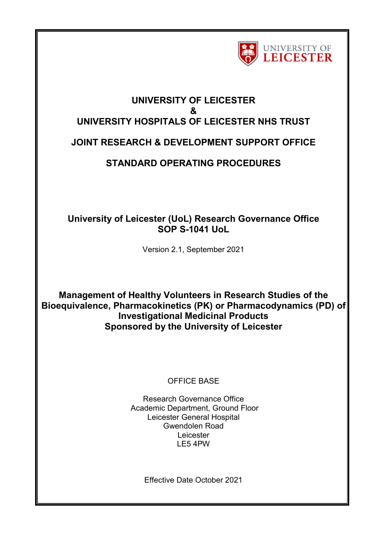

### **UNIVERSITY OF LEICESTER & UNIVERSITY HOSPITALS OF LEICESTER NHS TRUST**

# **JOINT RESEARCH & DEVELOPMENT SUPPORT OFFICE**

# **STANDARD OPERATING PROCEDURES**

## **University of Leicester (UoL) Research Governance Office SOP S-1041 UoL**

Version 2.1, September 2021

**Management of Healthy Volunteers in Research Studies of the Bioequivalence, Pharmacokinetics (PK) or Pharmacodynamics (PD) of Investigational Medicinal Products Sponsored by the University of Leicester**

## OFFICE BASE

Research Governance Office Academic Department, Ground Floor Leicester General Hospital Gwendolen Road **Leicester** LE5 4PW

Effective Date October 2021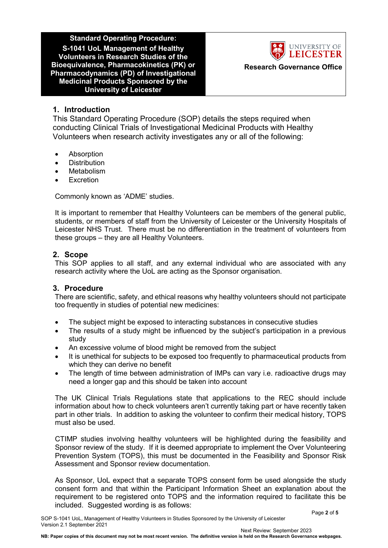**Standard Operating Procedure: S-1041 UoL Management of Healthy Volunteers in Research Studies of the Bioequivalence, Pharmacokinetics (PK) or Pharmacodynamics (PD) of Investigational Medicinal Products Sponsored by the University of Leicester**



**1. Introduction**

This Standard Operating Procedure (SOP) details the steps required when conducting Clinical Trials of Investigational Medicinal Products with Healthy Volunteers when research activity investigates any or all of the following:

- **Absorption**
- **Distribution**
- **Metabolism**
- **Fxcretion**

Commonly known as 'ADME' studies.

It is important to remember that Healthy Volunteers can be members of the general public, students, or members of staff from the University of Leicester or the University Hospitals of Leicester NHS Trust. There must be no differentiation in the treatment of volunteers from these groups – they are all Healthy Volunteers.

#### **2. Scope**

This SOP applies to all staff, and any external individual who are associated with any research activity where the UoL are acting as the Sponsor organisation.

#### **3. Procedure**

There are scientific, safety, and ethical reasons why healthy volunteers should not participate too frequently in studies of potential new medicines:

- The subject might be exposed to interacting substances in consecutive studies
- The results of a study might be influenced by the subject's participation in a previous study
- An excessive volume of blood might be removed from the subject
- It is unethical for subjects to be exposed too frequently to pharmaceutical products from which they can derive no benefit
- The length of time between administration of IMPs can vary i.e. radioactive drugs may need a longer gap and this should be taken into account

The UK Clinical Trials Regulations state that applications to the REC should include information about how to check volunteers aren't currently taking part or have recently taken part in other trials. In addition to asking the volunteer to confirm their medical history, TOPS must also be used.

CTIMP studies involving healthy volunteers will be highlighted during the feasibility and Sponsor review of the study. If it is deemed appropriate to implement the Over Volunteering Prevention System (TOPS), this must be documented in the Feasibility and Sponsor Risk Assessment and Sponsor review documentation.

As Sponsor, UoL expect that a separate TOPS consent form be used alongside the study consent form and that within the Participant Information Sheet an explanation about the requirement to be registered onto TOPS and the information required to facilitate this be included. Suggested wording is as follows: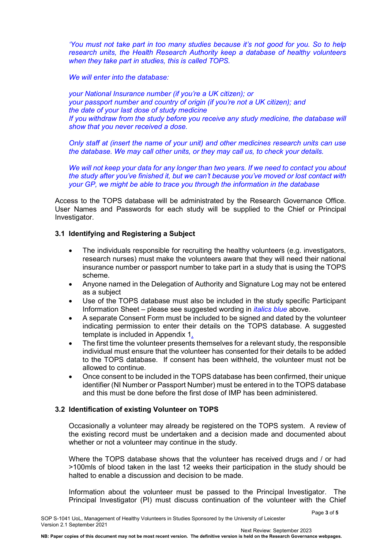*'You must not take part in too many studies because it's not good for you. So to help research units, the Health Research Authority keep a database of healthy volunteers when they take part in studies, this is called TOPS.* 

*We will enter into the database:*

*your National Insurance number (if you're a UK citizen); or your passport number and country of origin (if you're not a UK citizen); and the date of your last dose of study medicine If you withdraw from the study before you receive any study medicine, the database will show that you never received a dose.*

*Only staff at (insert the name of your unit) and other medicines research units can use the database. We may call other units, or they may call us, to check your details.*

*We will not keep your data for any longer than two years. If we need to contact you about the study after you've finished it, but we can't because you've moved or lost contact with your GP, we might be able to trace you through the information in the database*

Access to the TOPS database will be administrated by the Research Governance Office. User Names and Passwords for each study will be supplied to the Chief or Principal Investigator.

#### **3.1 Identifying and Registering a Subject**

- The individuals responsible for recruiting the healthy volunteers (e.g. investigators, research nurses) must make the volunteers aware that they will need their national insurance number or passport number to take part in a study that is using the TOPS scheme.
- Anyone named in the Delegation of Authority and Signature Log may not be entered as a subject
- Use of the TOPS database must also be included in the study specific Participant Information Sheet – please see suggested wording in *italics blue* above.
- A separate Consent Form must be included to be signed and dated by the volunteer indicating permission to enter their details on the TOPS database. A suggested template is included in Appendix 1.
- The first time the volunteer presents themselves for a relevant study, the responsible individual must ensure that the volunteer has consented for their details to be added to the TOPS database. If consent has been withheld, the volunteer must not be allowed to continue.
- Once consent to be included in the TOPS database has been confirmed, their unique identifier (NI Number or Passport Number) must be entered in to the TOPS database and this must be done before the first dose of IMP has been administered.

#### **3.2 Identification of existing Volunteer on TOPS**

Occasionally a volunteer may already be registered on the TOPS system. A review of the existing record must be undertaken and a decision made and documented about whether or not a volunteer may continue in the study.

Where the TOPS database shows that the volunteer has received drugs and / or had >100mls of blood taken in the last 12 weeks their participation in the study should be halted to enable a discussion and decision to be made.

Information about the volunteer must be passed to the Principal Investigator. The Principal Investigator (PI) must discuss continuation of the volunteer with the Chief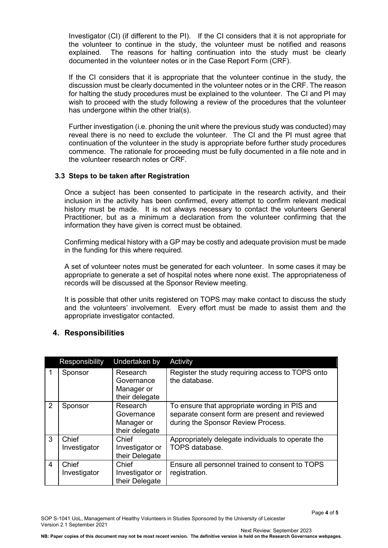Investigator (CI) (if different to the PI). If the CI considers that it is not appropriate for the volunteer to continue in the study, the volunteer must be notified and reasons explained. The reasons for halting continuation into the study must be clearly documented in the volunteer notes or in the Case Report Form (CRF).

If the CI considers that it is appropriate that the volunteer continue in the study, the discussion must be clearly documented in the volunteer notes or in the CRF. The reason for halting the study procedures must be explained to the volunteer. The CI and PI may wish to proceed with the study following a review of the procedures that the volunteer has undergone within the other trial(s).

Further investigation (i.e. phoning the unit where the previous study was conducted) may reveal there is no need to exclude the volunteer. The CI and the PI must agree that continuation of the volunteer in the study is appropriate before further study procedures commence. The rationale for proceeding must be fully documented in a file note and in the volunteer research notes or CRF.

#### **3.3 Steps to be taken after Registration**

Once a subject has been consented to participate in the research activity, and their inclusion in the activity has been confirmed, every attempt to confirm relevant medical history must be made. It is not always necessary to contact the volunteers General Practitioner, but as a minimum a declaration from the volunteer confirming that the information they have given is correct must be obtained.

Confirming medical history with a GP may be costly and adequate provision must be made in the funding for this where required.

A set of volunteer notes must be generated for each volunteer. In some cases it may be appropriate to generate a set of hospital notes where none exist. The appropriateness of records will be discussed at the Sponsor Review meeting.

It is possible that other units registered on TOPS may make contact to discuss the study and the volunteers' involvement. Every effort must be made to assist them and the appropriate investigator contacted.

#### **4. Responsibilities**

| Undertaken by<br>Responsibility |                       |                                                        | Activity                                                                                                                              |
|---------------------------------|-----------------------|--------------------------------------------------------|---------------------------------------------------------------------------------------------------------------------------------------|
| 1                               | Sponsor               | Research<br>Governance<br>Manager or<br>their delegate | Register the study requiring access to TOPS onto<br>the database.                                                                     |
| $\overline{2}$                  | Sponsor               | Research<br>Governance<br>Manager or<br>their delegate | To ensure that appropriate wording in PIS and<br>separate consent form are present and reviewed<br>during the Sponsor Review Process. |
| 3                               | Chief<br>Investigator | Chief<br>Investigator or<br>their Delegate             | Appropriately delegate individuals to operate the<br>TOPS database.                                                                   |
| $\overline{4}$                  | Chief<br>Investigator | Chief<br>Investigator or<br>their Delegate             | Ensure all personnel trained to consent to TOPS<br>registration.                                                                      |

Next Review: September 2023 **NB: Paper copies of this document may not be most recent version. The definitive version is held on the Research Governance webpages.**